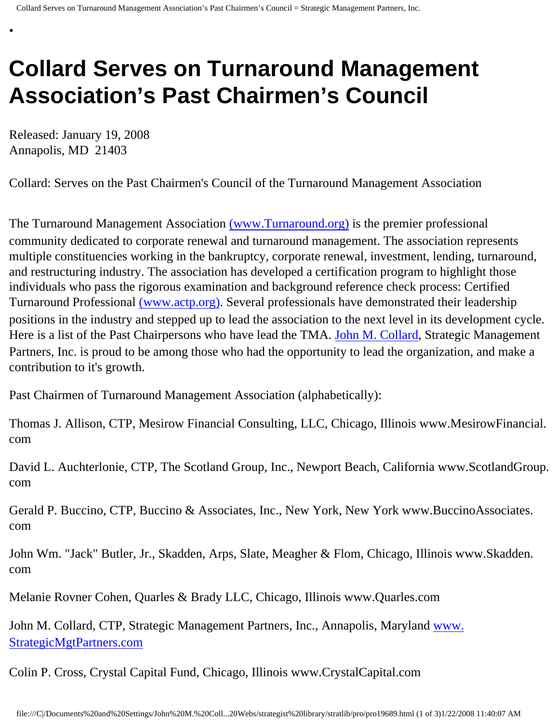## **Collard Serves on Turnaround Management Association's Past Chairmen's Council**

Released: January 19, 2008 Annapolis, MD 21403

•

Collard: Serves on the Past Chairmen's Council of the Turnaround Management Association

The Turnaround Management Association [\(www.Turnaround.org\)](http://www.turnaround.org/) is the premier professional community dedicated to corporate renewal and turnaround management. The association represents multiple constituencies working in the bankruptcy, corporate renewal, investment, lending, turnaround, and restructuring industry. The association has developed a certification program to highlight those individuals who pass the rigorous examination and background reference check process: Certified Turnaround Professional [\(www.actp.org\).](http://www.actp.org/) Several professionals have demonstrated their leadership positions in the industry and stepped up to lead the association to the next level in its development cycle. Here is a list of the Past Chairpersons who have lead the TMA. [John M. Collard](http://members.aol.com/strategist/home.html), Strategic Management Partners, Inc. is proud to be among those who had the opportunity to lead the organization, and make a contribution to it's growth.

Past Chairmen of Turnaround Management Association (alphabetically):

Thomas J. Allison, CTP, Mesirow Financial Consulting, LLC, Chicago, Illinois www.MesirowFinancial. com

David L. Auchterlonie, CTP, The Scotland Group, Inc., Newport Beach, California www.ScotlandGroup. com

Gerald P. Buccino, CTP, Buccino & Associates, Inc., New York, New York www.BuccinoAssociates. com

John Wm. "Jack" Butler, Jr., Skadden, Arps, Slate, Meagher & Flom, Chicago, Illinois www.Skadden. com

Melanie Rovner Cohen, Quarles & Brady LLC, Chicago, Illinois www.Quarles.com

John M. Collard, CTP, Strategic Management Partners, Inc., Annapolis, Maryland [www.](http://www.strategicmgtpartners.com/) [StrategicMgtPartners.com](http://www.strategicmgtpartners.com/)

Colin P. Cross, Crystal Capital Fund, Chicago, Illinois www.CrystalCapital.com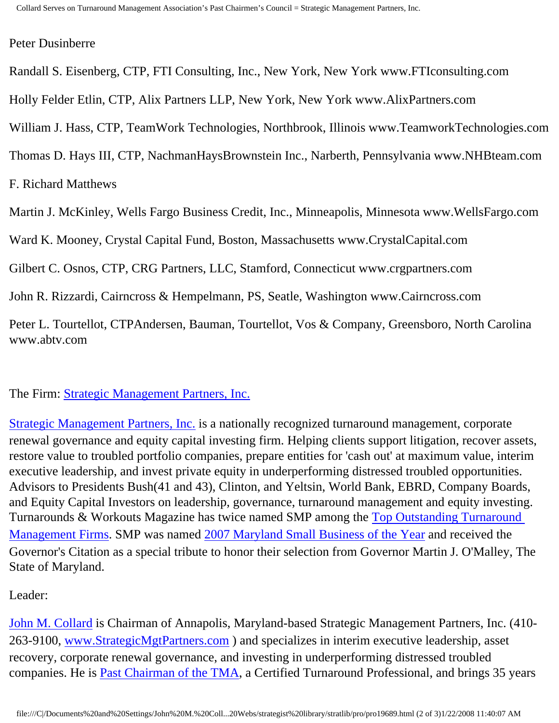## Peter Dusinberre

Randall S. Eisenberg, CTP, FTI Consulting, Inc., New York, New York www.FTIconsulting.com

Holly Felder Etlin, CTP, Alix Partners LLP, New York, New York www.AlixPartners.com

William J. Hass, CTP, TeamWork Technologies, Northbrook, Illinois www.TeamworkTechnologies.com

Thomas D. Hays III, CTP, NachmanHaysBrownstein Inc., Narberth, Pennsylvania www.NHBteam.com

F. Richard Matthews

Martin J. McKinley, Wells Fargo Business Credit, Inc., Minneapolis, Minnesota www.WellsFargo.com

Ward K. Mooney, Crystal Capital Fund, Boston, Massachusetts www.CrystalCapital.com

Gilbert C. Osnos, CTP, CRG Partners, LLC, Stamford, Connecticut www.crgpartners.com

John R. Rizzardi, Cairncross & Hempelmann, PS, Seatle, Washington www.Cairncross.com

Peter L. Tourtellot, CTPAndersen, Bauman, Tourtellot, Vos & Company, Greensboro, North Carolina www.abtv.com

The Firm: [Strategic Management Partners, Inc.](http://www.strategicmgtpartners.com/)

[Strategic Management Partners, Inc.](http://www.strategicmanagementpartnersinc.com/) is a nationally recognized turnaround management, corporate renewal governance and equity capital investing firm. Helping clients support litigation, recover assets, restore value to troubled portfolio companies, prepare entities for 'cash out' at maximum value, interim executive leadership, and invest private equity in underperforming distressed troubled opportunities. Advisors to Presidents Bush(41 and 43), Clinton, and Yeltsin, World Bank, EBRD, Company Boards, and Equity Capital Investors on leadership, governance, turnaround management and equity investing. Turnarounds & Workouts Magazine has twice named SMP among the [Top Outstanding Turnaround](http://members.aol.com/Strategist/twtop12.html) [Management Firms](http://members.aol.com/Strategist/twtop12.html). SMP was named [2007 Maryland Small Business of the Year](http://members.aol.com/Stratlib3/mccsbyr.html) and received the Governor's Citation as a special tribute to honor their selection from Governor Martin J. O'Malley, The State of Maryland.

Leader:

[John M. Collard](http://www.turnaroundmanagement.us.com/) is Chairman of Annapolis, Maryland-based Strategic Management Partners, Inc. (410- 263-9100, [www.StrategicMgtPartners.com](http://www.strategistlibrary.com/) ) and specializes in interim executive leadership, asset recovery, corporate renewal governance, and investing in underperforming distressed troubled companies. He is [Past Chairman of the TMA,](http://members.aol.com/Strategist/pastchair.html) a Certified Turnaround Professional, and brings 35 years